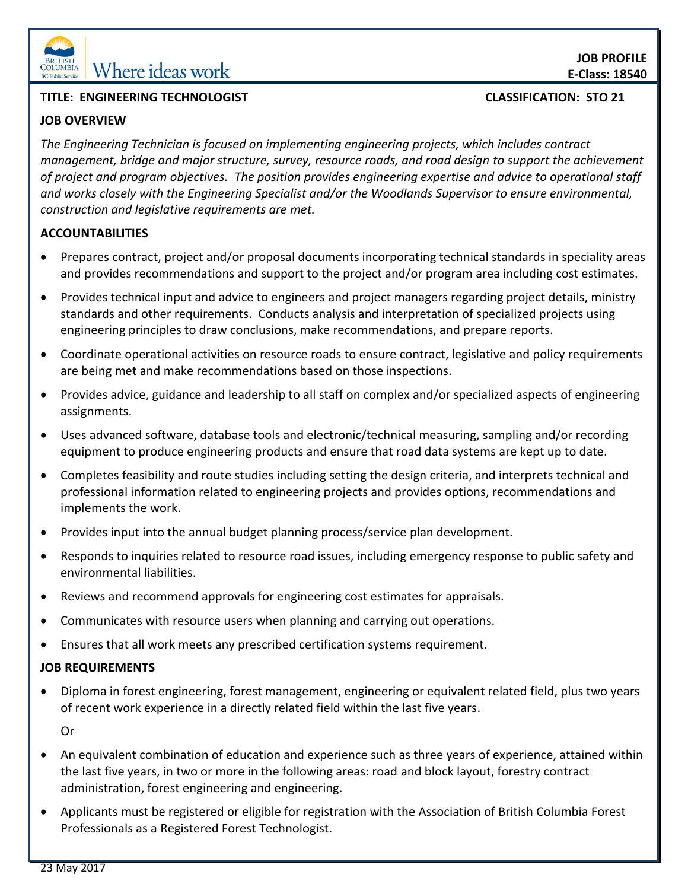

## **TITLE: ENGINEERING TECHNOLOGIST CLASSIFICATION: STO 21**

## **JOB OVERVIEW**

*The Engineering Technician is focused on implementing engineering projects, which includes contract management, bridge and major structure, survey, resource roads, and road design to support the achievement of project and program objectives. The position provides engineering expertise and advice to operational staff and works closely with the Engineering Specialist and/or the Woodlands Supervisor to ensure environmental, construction and legislative requirements are met.* 

# **ACCOUNTABILITIES**

- Prepares contract, project and/or proposal documents incorporating technical standards in speciality areas and provides recommendations and support to the project and/or program area including cost estimates.
- Provides technical input and advice to engineers and project managers regarding project details, ministry standards and other requirements. Conducts analysis and interpretation of specialized projects using engineering principles to draw conclusions, make recommendations, and prepare reports.
- Coordinate operational activities on resource roads to ensure contract, legislative and policy requirements are being met and make recommendations based on those inspections.
- Provides advice, guidance and leadership to all staff on complex and/or specialized aspects of engineering assignments.
- Uses advanced software, database tools and electronic/technical measuring, sampling and/or recording equipment to produce engineering products and ensure that road data systems are kept up to date.
- Completes feasibility and route studies including setting the design criteria, and interprets technical and professional information related to engineering projects and provides options, recommendations and implements the work.
- Provides input into the annual budget planning process/service plan development.
- Responds to inquiries related to resource road issues, including emergency response to public safety and environmental liabilities.
- Reviews and recommend approvals for engineering cost estimates for appraisals.
- Communicates with resource users when planning and carrying out operations.
- Ensures that all work meets any prescribed certification systems requirement.

# **JOB REQUIREMENTS**

 Diploma in forest engineering, forest management, engineering or equivalent related field, plus two years of recent work experience in a directly related field within the last five years.

Or

- An equivalent combination of education and experience such as three years of experience, attained within the last five years, in two or more in the following areas: road and block layout, forestry contract administration, forest engineering and engineering.
- Applicants must be registered or eligible for registration with the Association of British Columbia Forest Professionals as a Registered Forest Technologist.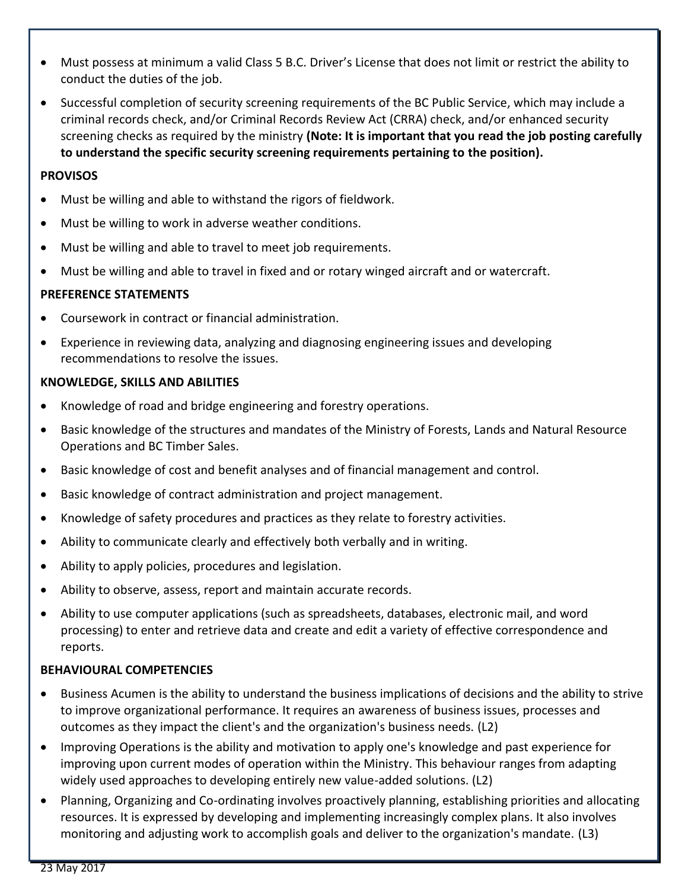- Must possess at minimum a valid Class 5 B.C. Driver's License that does not limit or restrict the ability to conduct the duties of the job.
- Successful completion of security screening requirements of the BC Public Service, which may include a criminal records check, and/or Criminal Records Review Act (CRRA) check, and/or enhanced security screening checks as required by the ministry **(Note: It is important that you read the job posting carefully to understand the specific security screening requirements pertaining to the position).**

#### **PROVISOS**

- Must be willing and able to withstand the rigors of fieldwork.
- Must be willing to work in adverse weather conditions.
- Must be willing and able to travel to meet job requirements.
- Must be willing and able to travel in fixed and or rotary winged aircraft and or watercraft.

## **PREFERENCE STATEMENTS**

- Coursework in contract or financial administration.
- Experience in reviewing data, analyzing and diagnosing engineering issues and developing recommendations to resolve the issues.

## **KNOWLEDGE, SKILLS AND ABILITIES**

- Knowledge of road and bridge engineering and forestry operations.
- Basic knowledge of the structures and mandates of the Ministry of Forests, Lands and Natural Resource Operations and BC Timber Sales.
- Basic knowledge of cost and benefit analyses and of financial management and control.
- Basic knowledge of contract administration and project management.
- Knowledge of safety procedures and practices as they relate to forestry activities.
- Ability to communicate clearly and effectively both verbally and in writing.
- Ability to apply policies, procedures and legislation.
- Ability to observe, assess, report and maintain accurate records.
- Ability to use computer applications (such as spreadsheets, databases, electronic mail, and word processing) to enter and retrieve data and create and edit a variety of effective correspondence and reports.

## **BEHAVIOURAL COMPETENCIES**

- Business Acumen is the ability to understand the business implications of decisions and the ability to strive to improve organizational performance. It requires an awareness of business issues, processes and outcomes as they impact the client's and the organization's business needs. (L2)
- Improving Operations is the ability and motivation to apply one's knowledge and past experience for improving upon current modes of operation within the Ministry. This behaviour ranges from adapting widely used approaches to developing entirely new value-added solutions. (L2)
- Planning, Organizing and Co-ordinating involves proactively planning, establishing priorities and allocating resources. It is expressed by developing and implementing increasingly complex plans. It also involves monitoring and adjusting work to accomplish goals and deliver to the organization's mandate. (L3)